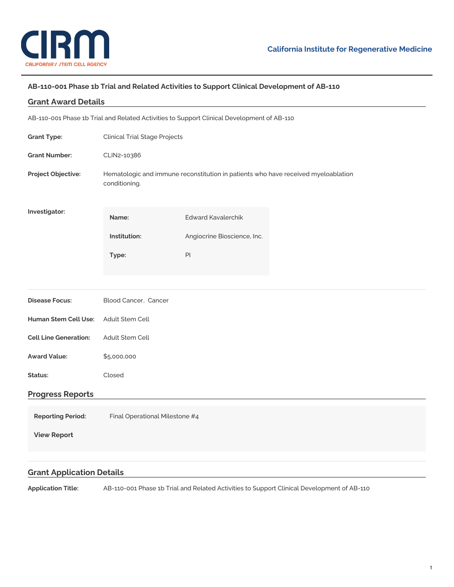

# **AB-110-001 Phase 1b Trial and Related Activities to Support Clinical Development of AB-110**

| <b>Grant Award Details</b>                                                                 |                                                                                                    |                             |  |
|--------------------------------------------------------------------------------------------|----------------------------------------------------------------------------------------------------|-----------------------------|--|
| AB-110-001 Phase 1b Trial and Related Activities to Support Clinical Development of AB-110 |                                                                                                    |                             |  |
| <b>Grant Type:</b>                                                                         | <b>Clinical Trial Stage Projects</b>                                                               |                             |  |
| <b>Grant Number:</b>                                                                       | CLIN2-10386                                                                                        |                             |  |
| Project Objective:                                                                         | Hematologic and immune reconstitution in patients who have received myeloablation<br>conditioning. |                             |  |
| Investigator:                                                                              | Name:                                                                                              | <b>Edward Kavalerchik</b>   |  |
|                                                                                            | Institution:                                                                                       | Angiocrine Bioscience, Inc. |  |
|                                                                                            | Type:                                                                                              | $\mathsf{Pl}$               |  |
|                                                                                            |                                                                                                    |                             |  |
| <b>Disease Focus:</b>                                                                      | Blood Cancer, Cancer                                                                               |                             |  |
| <b>Human Stem Cell Use:</b>                                                                | Adult Stem Cell                                                                                    |                             |  |
| <b>Cell Line Generation:</b>                                                               | Adult Stem Cell                                                                                    |                             |  |
| <b>Award Value:</b>                                                                        | \$5,000,000                                                                                        |                             |  |
| Status:                                                                                    | Closed                                                                                             |                             |  |
| <b>Progress Reports</b>                                                                    |                                                                                                    |                             |  |
| <b>Reporting Period:</b>                                                                   | Final Operational Milestone #4                                                                     |                             |  |
| <b>View Report</b>                                                                         |                                                                                                    |                             |  |
|                                                                                            |                                                                                                    |                             |  |

# **Grant Application Details**

**Application Title:** AB-110-001 Phase 1b Trial and Related Activities to Support Clinical Development of AB-110